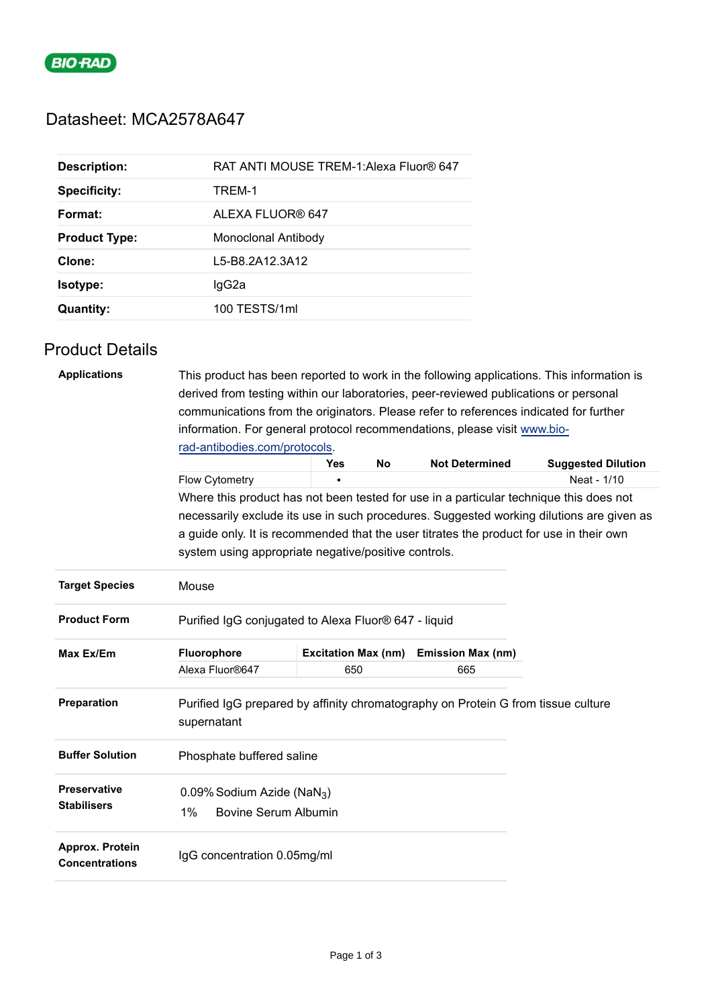

## Datasheet: MCA2578A647

| <b>Description:</b>  | RAT ANTI MOUSE TREM-1: Alexa Fluor® 647 |
|----------------------|-----------------------------------------|
| <b>Specificity:</b>  | TREM-1                                  |
| Format:              | ALEXA FLUOR® 647                        |
| <b>Product Type:</b> | Monoclonal Antibody                     |
| Clone:               | L5-B8.2A12.3A12                         |
| <b>Isotype:</b>      | lgG2a                                   |
| <b>Quantity:</b>     | 100 TESTS/1ml                           |

## Product Details

| <b>Applications</b>                      | This product has been reported to work in the following applications. This information is<br>derived from testing within our laboratories, peer-reviewed publications or personal |                            |           |                          |                                                                                          |  |  |  |
|------------------------------------------|-----------------------------------------------------------------------------------------------------------------------------------------------------------------------------------|----------------------------|-----------|--------------------------|------------------------------------------------------------------------------------------|--|--|--|
|                                          | communications from the originators. Please refer to references indicated for further                                                                                             |                            |           |                          |                                                                                          |  |  |  |
|                                          | information. For general protocol recommendations, please visit www.bio-                                                                                                          |                            |           |                          |                                                                                          |  |  |  |
|                                          | rad-antibodies.com/protocols.                                                                                                                                                     |                            |           |                          |                                                                                          |  |  |  |
|                                          |                                                                                                                                                                                   | <b>Yes</b>                 | <b>No</b> | <b>Not Determined</b>    | <b>Suggested Dilution</b>                                                                |  |  |  |
|                                          | Flow Cytometry                                                                                                                                                                    |                            |           |                          | Neat - 1/10                                                                              |  |  |  |
|                                          | Where this product has not been tested for use in a particular technique this does not                                                                                            |                            |           |                          |                                                                                          |  |  |  |
|                                          |                                                                                                                                                                                   |                            |           |                          | necessarily exclude its use in such procedures. Suggested working dilutions are given as |  |  |  |
|                                          | a guide only. It is recommended that the user titrates the product for use in their own                                                                                           |                            |           |                          |                                                                                          |  |  |  |
|                                          | system using appropriate negative/positive controls.                                                                                                                              |                            |           |                          |                                                                                          |  |  |  |
| <b>Target Species</b>                    | Mouse                                                                                                                                                                             |                            |           |                          |                                                                                          |  |  |  |
| <b>Product Form</b>                      | Purified IgG conjugated to Alexa Fluor® 647 - liquid                                                                                                                              |                            |           |                          |                                                                                          |  |  |  |
| Max Ex/Em                                | Fluorophore                                                                                                                                                                       | <b>Excitation Max (nm)</b> |           | <b>Emission Max (nm)</b> |                                                                                          |  |  |  |
|                                          | Alexa Fluor®647                                                                                                                                                                   | 650                        |           | 665                      |                                                                                          |  |  |  |
| Preparation                              | Purified IgG prepared by affinity chromatography on Protein G from tissue culture<br>supernatant                                                                                  |                            |           |                          |                                                                                          |  |  |  |
| <b>Buffer Solution</b>                   | Phosphate buffered saline                                                                                                                                                         |                            |           |                          |                                                                                          |  |  |  |
| <b>Preservative</b>                      | 0.09% Sodium Azide (NaN <sub>3</sub> )                                                                                                                                            |                            |           |                          |                                                                                          |  |  |  |
| <b>Stabilisers</b>                       | $1\%$<br><b>Bovine Serum Albumin</b>                                                                                                                                              |                            |           |                          |                                                                                          |  |  |  |
| Approx. Protein<br><b>Concentrations</b> | IgG concentration 0.05mg/ml                                                                                                                                                       |                            |           |                          |                                                                                          |  |  |  |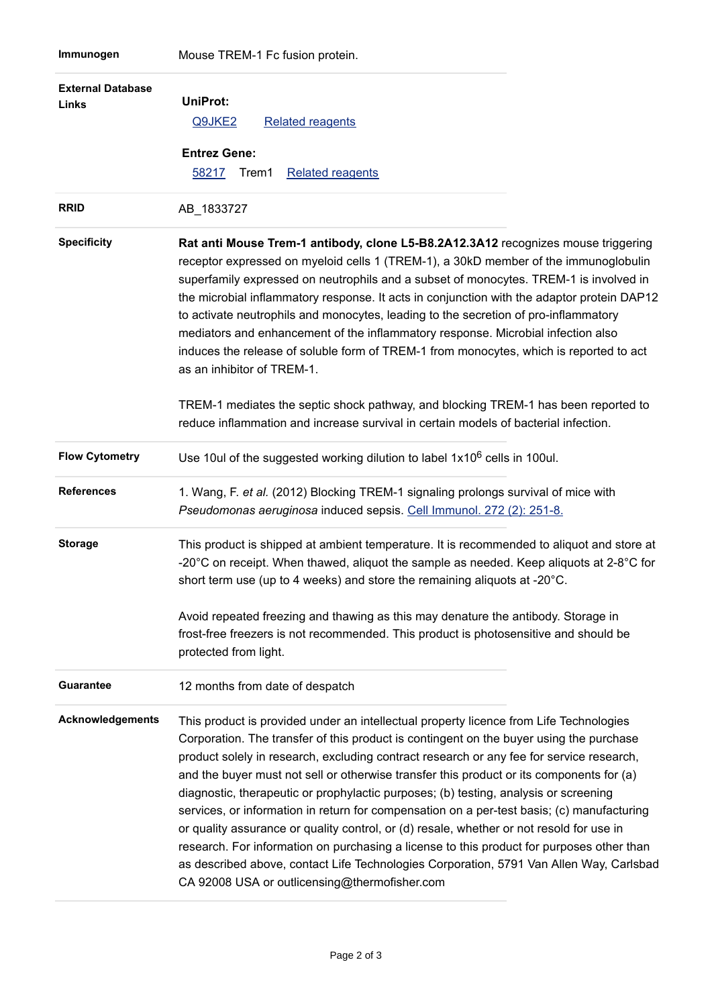| <b>External Database</b><br><b>Links</b> | <b>UniProt:</b><br>Q9JKE2<br><b>Related reagents</b><br><b>Entrez Gene:</b>                                                                                                                                                                                                                                                                                                                                                                                                                                                                                                                                                                                                                                                                                                                                                                                                                          |
|------------------------------------------|------------------------------------------------------------------------------------------------------------------------------------------------------------------------------------------------------------------------------------------------------------------------------------------------------------------------------------------------------------------------------------------------------------------------------------------------------------------------------------------------------------------------------------------------------------------------------------------------------------------------------------------------------------------------------------------------------------------------------------------------------------------------------------------------------------------------------------------------------------------------------------------------------|
|                                          | 58217<br>Trem1<br><b>Related reagents</b>                                                                                                                                                                                                                                                                                                                                                                                                                                                                                                                                                                                                                                                                                                                                                                                                                                                            |
| <b>RRID</b>                              | AB 1833727                                                                                                                                                                                                                                                                                                                                                                                                                                                                                                                                                                                                                                                                                                                                                                                                                                                                                           |
| <b>Specificity</b>                       | Rat anti Mouse Trem-1 antibody, clone L5-B8.2A12.3A12 recognizes mouse triggering<br>receptor expressed on myeloid cells 1 (TREM-1), a 30kD member of the immunoglobulin<br>superfamily expressed on neutrophils and a subset of monocytes. TREM-1 is involved in<br>the microbial inflammatory response. It acts in conjunction with the adaptor protein DAP12<br>to activate neutrophils and monocytes, leading to the secretion of pro-inflammatory<br>mediators and enhancement of the inflammatory response. Microbial infection also<br>induces the release of soluble form of TREM-1 from monocytes, which is reported to act<br>as an inhibitor of TREM-1.                                                                                                                                                                                                                                   |
|                                          | TREM-1 mediates the septic shock pathway, and blocking TREM-1 has been reported to<br>reduce inflammation and increase survival in certain models of bacterial infection.                                                                                                                                                                                                                                                                                                                                                                                                                                                                                                                                                                                                                                                                                                                            |
| <b>Flow Cytometry</b>                    | Use 10ul of the suggested working dilution to label 1x10 <sup>6</sup> cells in 100ul.                                                                                                                                                                                                                                                                                                                                                                                                                                                                                                                                                                                                                                                                                                                                                                                                                |
| <b>References</b>                        | 1. Wang, F. et al. (2012) Blocking TREM-1 signaling prolongs survival of mice with<br>Pseudomonas aeruginosa induced sepsis. Cell Immunol. 272 (2): 251-8.                                                                                                                                                                                                                                                                                                                                                                                                                                                                                                                                                                                                                                                                                                                                           |
| <b>Storage</b>                           | This product is shipped at ambient temperature. It is recommended to aliquot and store at<br>-20 $^{\circ}$ C on receipt. When thawed, aliquot the sample as needed. Keep aliquots at 2-8 $^{\circ}$ C for<br>short term use (up to 4 weeks) and store the remaining aliquots at -20°C.                                                                                                                                                                                                                                                                                                                                                                                                                                                                                                                                                                                                              |
|                                          | Avoid repeated freezing and thawing as this may denature the antibody. Storage in<br>frost-free freezers is not recommended. This product is photosensitive and should be<br>protected from light.                                                                                                                                                                                                                                                                                                                                                                                                                                                                                                                                                                                                                                                                                                   |
| <b>Guarantee</b>                         | 12 months from date of despatch                                                                                                                                                                                                                                                                                                                                                                                                                                                                                                                                                                                                                                                                                                                                                                                                                                                                      |
| <b>Acknowledgements</b>                  | This product is provided under an intellectual property licence from Life Technologies<br>Corporation. The transfer of this product is contingent on the buyer using the purchase<br>product solely in research, excluding contract research or any fee for service research,<br>and the buyer must not sell or otherwise transfer this product or its components for (a)<br>diagnostic, therapeutic or prophylactic purposes; (b) testing, analysis or screening<br>services, or information in return for compensation on a per-test basis; (c) manufacturing<br>or quality assurance or quality control, or (d) resale, whether or not resold for use in<br>research. For information on purchasing a license to this product for purposes other than<br>as described above, contact Life Technologies Corporation, 5791 Van Allen Way, Carlsbad<br>CA 92008 USA or outlicensing@thermofisher.com |